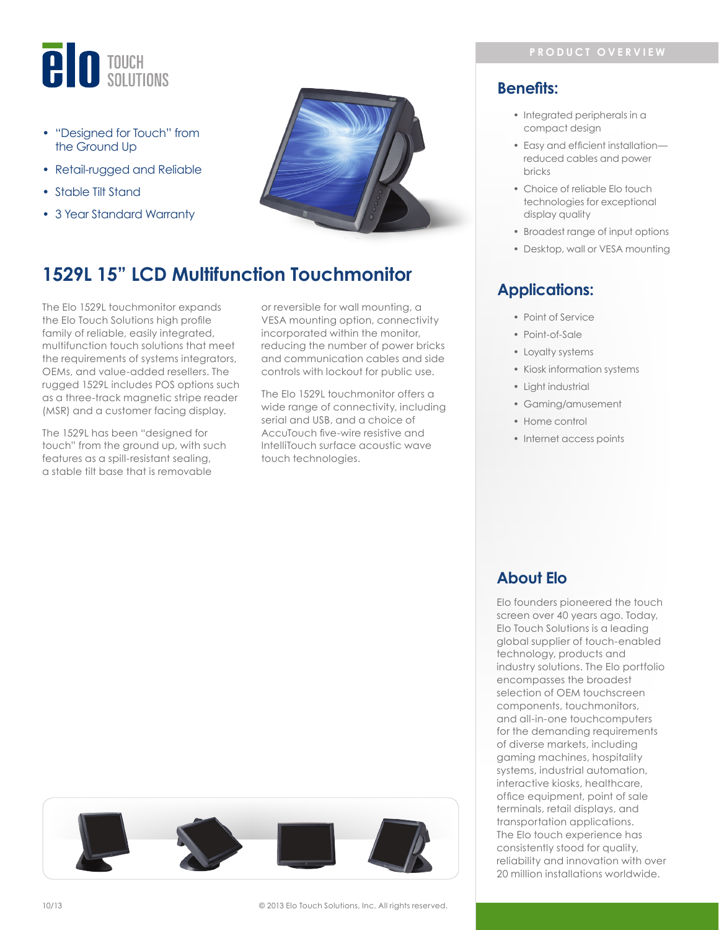

- "Designed for Touch" from the Ground Up
- Retail-rugged and Reliable
- Stable Tilt Stand
- 3 Year Standard Warranty



# **1529L 15" LCD Multifunction Touchmonitor**

The Elo 1529L touchmonitor expands the Elo Touch Solutions high profile family of reliable, easily integrated, multifunction touch solutions that meet the requirements of systems integrators, OEMs, and value-added resellers. The rugged 1529L includes POS options such as a three-track magnetic stripe reader (MSR) and a customer facing display.

The 1529L has been "designed for touch" from the ground up, with such features as a spill-resistant sealing, a stable tilt base that is removable

or reversible for wall mounting, a VESA mounting option, connectivity incorporated within the monitor, reducing the number of power bricks and communication cables and side controls with lockout for public use.

The Elo 1529L touchmonitor offers a wide range of connectivity, including serial and USB, and a choice of AccuTouch five-wire resistive and IntelliTouch surface acoustic wave touch technologies.

### **Benefits:**

- Integrated peripherals in a compact design
- Easy and efficient installation reduced cables and power bricks
- Choice of reliable Elo touch technologies for exceptional display quality
- Broadest range of input options
- Desktop, wall or VESA mounting

## **Applications:**

- Point of Service
- Point-of-Sale
- Loyalty systems
- Kiosk information systems
- Light industrial
- Gaming/amusement
- Home control
- Internet access points

## **About Elo**

Elo founders pioneered the touch screen over 40 years ago. Today, Elo Touch Solutions is a leading global supplier of touch-enabled technology, products and industry solutions. The Elo portfolio encompasses the broadest selection of OEM touchscreen components, touchmonitors, and all-in-one touchcomputers for the demanding requirements of diverse markets, including gaming machines, hospitality systems, industrial automation, interactive kiosks, healthcare, office equipment, point of sale terminals, retail displays, and transportation applications. The Elo touch experience has consistently stood for quality, reliability and innovation with over 20 million installations worldwide.